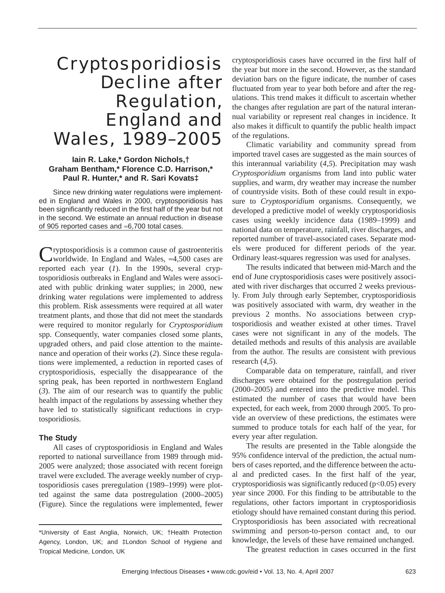# Cryptosporidiosis Decline after Regulation, England and Wales, 1989–2005

## **Iain R. Lake,\* Gordon Nichols,† Graham Bentham,\* Florence C.D. Harrison,\* Paul R. Hunter,\* and R. Sari Kovats‡**

Since new drinking water regulations were implemented in England and Wales in 2000, cryptosporidiosis has been significantly reduced in the first half of the year but not in the second. We estimate an annual reduction in disease of 905 reported cases and ≈6,700 total cases.

Cryptosporidiosis is a common cause of gastroenteritis worldwide. In England and Wales, ≈4,500 cases are reported each year (*1*). In the 1990s, several cryptosporidiosis outbreaks in England and Wales were associated with public drinking water supplies; in 2000, new drinking water regulations were implemented to address this problem. Risk assessments were required at all water treatment plants, and those that did not meet the standards were required to monitor regularly for *Cryptosporidium* spp. Consequently, water companies closed some plants, upgraded others, and paid close attention to the maintenance and operation of their works (*2*). Since these regulations were implemented, a reduction in reported cases of cryptosporidiosis, especially the disappearance of the spring peak, has been reported in northwestern England (*3*). The aim of our research was to quantify the public health impact of the regulations by assessing whether they have led to statistically significant reductions in cryptosporidiosis.

### **The Study**

All cases of cryptosporidiosis in England and Wales reported to national surveillance from 1989 through mid-2005 were analyzed; those associated with recent foreign travel were excluded. The average weekly number of cryptosporidiosis cases preregulation (1989–1999) were plotted against the same data postregulation (2000–2005) (Figure). Since the regulations were implemented, fewer cryptosporidiosis cases have occurred in the first half of the year but more in the second. However, as the standard deviation bars on the figure indicate, the number of cases fluctuated from year to year both before and after the regulations. This trend makes it difficult to ascertain whether the changes after regulation are part of the natural interannual variability or represent real changes in incidence. It also makes it difficult to quantify the public health impact of the regulations.

Climatic variability and community spread from imported travel cases are suggested as the main sources of this interannual variability (*4*,*5*). Precipitation may wash *Cryptosporidium* organisms from land into public water supplies, and warm, dry weather may increase the number of countryside visits. Both of these could result in exposure to *Cryptosporidium* organisms. Consequently, we developed a predictive model of weekly cryptosporidiosis cases using weekly incidence data (1989–1999) and national data on temperature, rainfall, river discharges, and reported number of travel-associated cases. Separate models were produced for different periods of the year. Ordinary least-squares regression was used for analyses.

The results indicated that between mid-March and the end of June cryptosporidiosis cases were positively associated with river discharges that occurred 2 weeks previously. From July through early September, cryptosporidiosis was positively associated with warm, dry weather in the previous 2 months. No associations between cryptosporidiosis and weather existed at other times. Travel cases were not significant in any of the models. The detailed methods and results of this analysis are available from the author. The results are consistent with previous research (*4*,*5*).

Comparable data on temperature, rainfall, and river discharges were obtained for the postregulation period (2000–2005) and entered into the predictive model. This estimated the number of cases that would have been expected, for each week, from 2000 through 2005. To provide an overview of these predictions, the estimates were summed to produce totals for each half of the year, for every year after regulation.

The results are presented in the Table alongside the 95% confidence interval of the prediction, the actual numbers of cases reported, and the difference between the actual and predicted cases. In the first half of the year, cryptosporidiosis was significantly reduced  $(p<0.05)$  every year since 2000. For this finding to be attributable to the regulations, other factors important in cryptosporidiosis etiology should have remained constant during this period. Cryptosporidiosis has been associated with recreational swimming and person-to-person contact and, to our knowledge, the levels of these have remained unchanged.

The greatest reduction in cases occurred in the first

<sup>\*</sup>University of East Anglia, Norwich, UK; †Health Protection Agency, London, UK; and ‡London School of Hygiene and Tropical Medicine, London, UK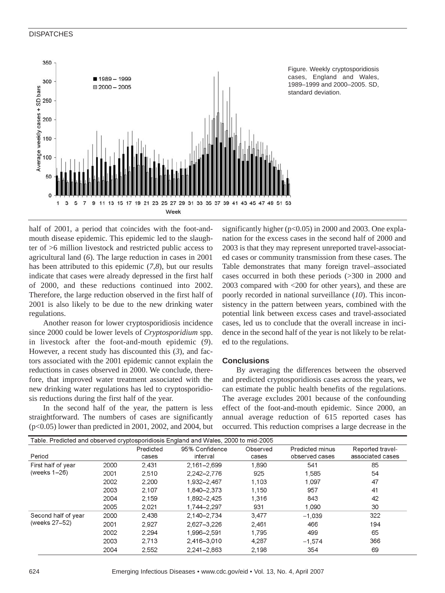#### **DISPATCHES**



Figure. Weekly cryptosporidiosis cases, England and Wales, 1989–1999 and 2000–2005. SD, standard deviation.

half of 2001, a period that coincides with the foot-andmouth disease epidemic. This epidemic led to the slaughter of >6 million livestock and restricted public access to agricultural land (*6*). The large reduction in cases in 2001 has been attributed to this epidemic (*7*,*8*), but our results indicate that cases were already depressed in the first half of 2000, and these reductions continued into 2002. Therefore, the large reduction observed in the first half of 2001 is also likely to be due to the new drinking water regulations.

Another reason for lower cryptosporidiosis incidence since 2000 could be lower levels of *Cryptosporidium* spp. in livestock after the foot-and-mouth epidemic (*9*). However, a recent study has discounted this (*3*), and factors associated with the 2001 epidemic cannot explain the reductions in cases observed in 2000. We conclude, therefore, that improved water treatment associated with the new drinking water regulations has led to cryptosporidiosis reductions during the first half of the year.

In the second half of the year, the pattern is less straightforward. The numbers of cases are significantly (p<0.05) lower than predicted in 2001, 2002, and 2004, but

significantly higher ( $p<0.05$ ) in 2000 and 2003. One explanation for the excess cases in the second half of 2000 and 2003 is that they may represent unreported travel-associated cases or community transmission from these cases. The Table demonstrates that many foreign travel–associated cases occurred in both these periods (>300 in 2000 and 2003 compared with <200 for other years), and these are poorly recorded in national surveillance (*10*). This inconsistency in the pattern between years, combined with the potential link between excess cases and travel-associated cases, led us to conclude that the overall increase in incidence in the second half of the year is not likely to be related to the regulations.

#### **Conclusions**

By averaging the differences between the observed and predicted cryptosporidiosis cases across the years, we can estimate the public health benefits of the regulations. The average excludes 2001 because of the confounding effect of the foot-and-mouth epidemic. Since 2000, an annual average reduction of 615 reported cases has occurred. This reduction comprises a large decrease in the

| Table. Predicted and observed cryptosporidiosis England and Wales, 2000 to mid-2005 |      |                    |                            |                   |                                          |                                      |
|-------------------------------------------------------------------------------------|------|--------------------|----------------------------|-------------------|------------------------------------------|--------------------------------------|
| Period                                                                              |      | Predicted<br>cases | 95% Confidence<br>interval | Observed<br>cases | <b>Predicted minus</b><br>observed cases | Reported travel-<br>associated cases |
| First half of year<br>(weeks 1-26)                                                  | 2000 | 2.431              | $2.161 - 2.699$            | 1.890             | 541                                      | 85                                   |
|                                                                                     | 2001 | 2.510              | 2,242-2,776                | 925               | 1.585                                    | 54                                   |
|                                                                                     | 2002 | 2,200              | 1,932-2,467                | 1,103             | 1.097                                    | 47                                   |
|                                                                                     | 2003 | 2.107              | 1,840-2,373                | 1,150             | 957                                      | 41                                   |
|                                                                                     | 2004 | 2.159              | 1.892-2.425                | 1.316             | 843                                      | 42                                   |
|                                                                                     | 2005 | 2.021              | 1.744-2.297                | 931               | 1,090                                    | 30                                   |
| Second half of year<br>(weeks 27-52)                                                | 2000 | 2,438              | 2.140-2.734                | 3,477             | $-1.039$                                 | 322                                  |
|                                                                                     | 2001 | 2,927              | 2.627-3.226                | 2,461             | 466                                      | 194                                  |
|                                                                                     | 2002 | 2.294              | 1.996-2.591                | 1,795             | 499                                      | 65                                   |
|                                                                                     | 2003 | 2.713              | 2.416-3.010                | 4.287             | $-1.574$                                 | 366                                  |
|                                                                                     | 2004 | 2.552              | $2.241 - 2.863$            | 2.198             | 354                                      | 69                                   |